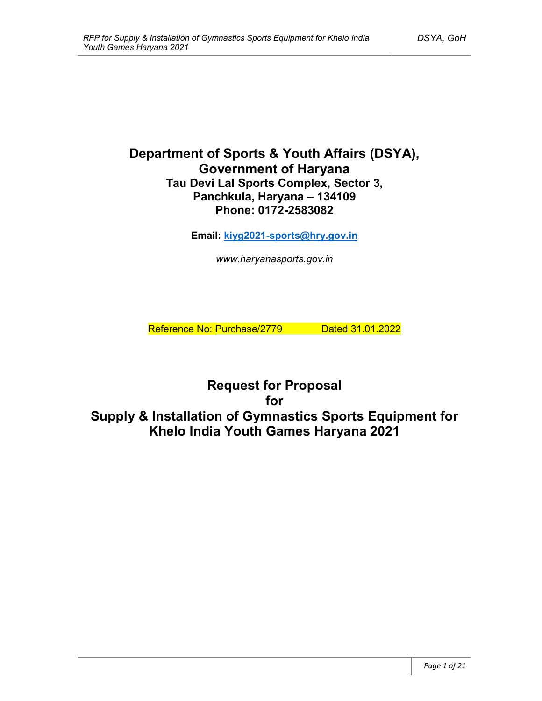# **Department of Sports & Youth Affairs (DSYA), Government of Haryana Tau Devi Lal Sports Complex, Sector 3, Panchkula, Haryana – 134109 Phone: 0172-2583082**

**Email: kiyg2021-sports@hry.gov.in**

*www.haryanasports.gov.in*

Reference No: Purchase/2779 Dated 31.01.2022

**Request for Proposal for Supply & Installation of Gymnastics Sports Equipment for Khelo India Youth Games Haryana 2021**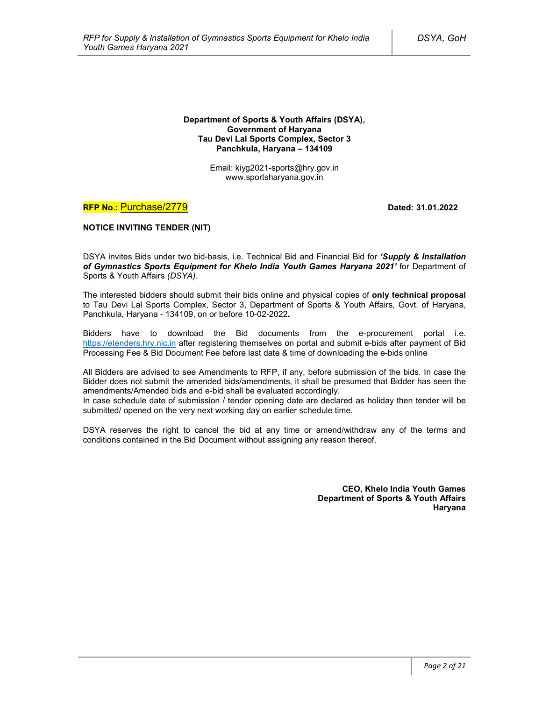#### **Department of Sports & Youth Affairs (DSYA), Government of Haryana Tau Devi Lal Sports Complex, Sector 3 Panchkula, Haryana – 134109**

Email: kiyg2021-sports@hry.gov.in www.sportsharyana.gov.in

## **RFP No.: Purchase/2779 <b>Dated: 31.01.2022**

### **NOTICE INVITING TENDER (NIT)**

DSYA invites Bids under two bid-basis, i.e. Technical Bid and Financial Bid for *'Supply & Installation of Gymnastics Sports Equipment for Khelo India Youth Games Haryana 2021'* for Department of Sports & Youth Affairs *(DSYA)*.

The interested bidders should submit their bids online and physical copies of **only technical proposal** to Tau Devi Lal Sports Complex, Sector 3, Department of Sports & Youth Affairs, Govt. of Haryana, Panchkula, Haryana - 134109, on or before 10-02-2022**.**

Bidders have to download the Bid documents from the e-procurement portal i.e. https://etenders.hry.nic.in after registering themselves on portal and submit e-bids after payment of Bid Processing Fee & Bid Document Fee before last date & time of downloading the e-bids online

All Bidders are advised to see Amendments to RFP, if any, before submission of the bids. In case the Bidder does not submit the amended bids/amendments, it shall be presumed that Bidder has seen the amendments/Amended bids and e-bid shall be evaluated accordingly.

In case schedule date of submission / tender opening date are declared as holiday then tender will be submitted/ opened on the very next working day on earlier schedule time.

DSYA reserves the right to cancel the bid at any time or amend/withdraw any of the terms and conditions contained in the Bid Document without assigning any reason thereof.

> **CEO, Khelo India Youth Games Department of Sports & Youth Affairs Haryana**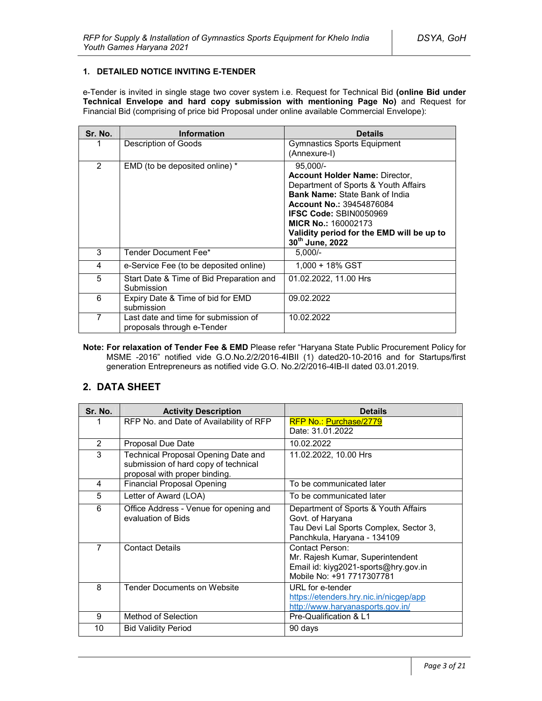### **1. DETAILED NOTICE INVITING E-TENDER**

e-Tender is invited in single stage two cover system i.e. Request for Technical Bid **(online Bid under Technical Envelope and hard copy submission with mentioning Page No)** and Request for Financial Bid (comprising of price bid Proposal under online available Commercial Envelope):

| Sr. No. | <b>Information</b>                                                 | <b>Details</b>                                                                                                                                                                                                                                                                                         |
|---------|--------------------------------------------------------------------|--------------------------------------------------------------------------------------------------------------------------------------------------------------------------------------------------------------------------------------------------------------------------------------------------------|
|         | Description of Goods                                               | <b>Gymnastics Sports Equipment</b><br>(Annexure-I)                                                                                                                                                                                                                                                     |
| 2       | EMD (to be deposited online) *                                     | $95.000/-$<br><b>Account Holder Name: Director,</b><br>Department of Sports & Youth Affairs<br><b>Bank Name: State Bank of India</b><br><b>Account No.: 39454876084</b><br><b>IFSC Code: SBIN0050969</b><br><b>MICR No.: 160002173</b><br>Validity period for the EMD will be up to<br>30th June, 2022 |
| 3       | Tender Document Fee*                                               | $5.000/-$                                                                                                                                                                                                                                                                                              |
| 4       | e-Service Fee (to be deposited online)                             | 1,000 + 18% GST                                                                                                                                                                                                                                                                                        |
| 5       | Start Date & Time of Bid Preparation and<br>Submission             | 01.02.2022, 11.00 Hrs                                                                                                                                                                                                                                                                                  |
| 6       | Expiry Date & Time of bid for EMD<br>submission                    | 09.02.2022                                                                                                                                                                                                                                                                                             |
| 7       | Last date and time for submission of<br>proposals through e-Tender | 10.02.2022                                                                                                                                                                                                                                                                                             |

**Note: For relaxation of Tender Fee & EMD** Please refer "Haryana State Public Procurement Policy for MSME -2016" notified vide G.O.No.2/2/2016-4IBII (1) dated20-10-2016 and for Startups/first generation Entrepreneurs as notified vide G.O. No.2/2/2016-4IB-II dated 03.01.2019.

## **2. DATA SHEET**

| Sr. No.        | <b>Activity Description</b>                                                                                  | <b>Details</b>                                                                                                                    |
|----------------|--------------------------------------------------------------------------------------------------------------|-----------------------------------------------------------------------------------------------------------------------------------|
|                | RFP No. and Date of Availability of RFP                                                                      | RFP No.: Purchase/2779<br>Date: 31.01.2022                                                                                        |
|                |                                                                                                              |                                                                                                                                   |
| 2              | <b>Proposal Due Date</b>                                                                                     | 10.02.2022                                                                                                                        |
| 3              | Technical Proposal Opening Date and<br>submission of hard copy of technical<br>proposal with proper binding. | 11.02.2022, 10.00 Hrs                                                                                                             |
| 4              | <b>Financial Proposal Opening</b>                                                                            | To be communicated later                                                                                                          |
| 5              | Letter of Award (LOA)                                                                                        | To be communicated later                                                                                                          |
| 6              | Office Address - Venue for opening and<br>evaluation of Bids                                                 | Department of Sports & Youth Affairs<br>Govt. of Haryana<br>Tau Devi Lal Sports Complex, Sector 3,<br>Panchkula, Haryana - 134109 |
| $\overline{7}$ | <b>Contact Details</b>                                                                                       | Contact Person:<br>Mr. Rajesh Kumar, Superintendent<br>Email id: kiyg2021-sports@hry.gov.in<br>Mobile No: +91 7717307781          |
| 8              | <b>Tender Documents on Website</b>                                                                           | URL for e-tender<br>https://etenders.hry.nic.in/nicgep/app<br>http://www.haryanasports.gov.in/                                    |
| 9              | Method of Selection                                                                                          | Pre-Qualification & L1                                                                                                            |
| 10             | <b>Bid Validity Period</b>                                                                                   | 90 days                                                                                                                           |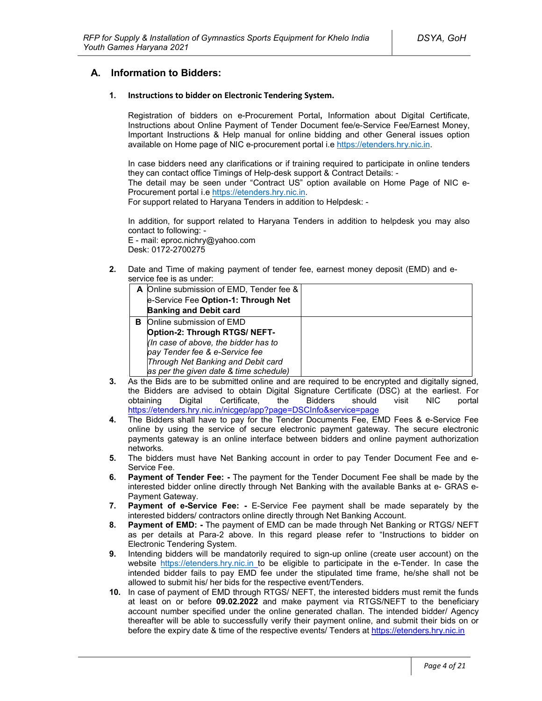## **A. Information to Bidders:**

#### **1. Instructions to bidder on Electronic Tendering System.**

Registration of bidders on e-Procurement Portal**,** Information about Digital Certificate, Instructions about Online Payment of Tender Document fee/e-Service Fee/Earnest Money, Important Instructions & Help manual for online bidding and other General issues option available on Home page of NIC e-procurement portal i.e https://etenders.hry.nic.in.

In case bidders need any clarifications or if training required to participate in online tenders they can contact office Timings of Help-desk support & Contract Details: -

The detail may be seen under "Contract US" option available on Home Page of NIC e-Procurement portal i.e https://etenders.hry.nic.in.

For support related to Haryana Tenders in addition to Helpdesk: -

In addition, for support related to Haryana Tenders in addition to helpdesk you may also contact to following: -

E - mail: eproc.nichry@yahoo.com Desk: 0172-2700275

**2.** Date and Time of making payment of tender fee, earnest money deposit (EMD) and eservice fee is as under:

|   | A Online submission of EMD, Tender fee & |  |
|---|------------------------------------------|--|
|   | e-Service Fee Option-1: Through Net      |  |
|   | <b>Banking and Debit card</b>            |  |
| в | Online submission of EMD                 |  |
|   | Option-2: Through RTGS/ NEFT-            |  |
|   | (In case of above, the bidder has to     |  |
|   | pay Tender fee & e-Service fee           |  |
|   | Through Net Banking and Debit card       |  |
|   | as per the given date & time schedule)   |  |

- **3.** As the Bids are to be submitted online and are required to be encrypted and digitally signed, the Bidders are advised to obtain Digital Signature Certificate (DSC) at the earliest. For obtaining Digital Certificate, the Bidders should visit NIC portal https://etenders.hry.nic.in/nicgep/app?page=DSCInfo&service=page
- **4.** The Bidders shall have to pay for the Tender Documents Fee, EMD Fees & e-Service Fee online by using the service of secure electronic payment gateway. The secure electronic payments gateway is an online interface between bidders and online payment authorization networks.
- **5.** The bidders must have Net Banking account in order to pay Tender Document Fee and e-Service Fee.
- **6. Payment of Tender Fee: -** The payment for the Tender Document Fee shall be made by the interested bidder online directly through Net Banking with the available Banks at e- GRAS e-Payment Gateway.
- **7. Payment of e-Service Fee: -** E-Service Fee payment shall be made separately by the interested bidders/ contractors online directly through Net Banking Account.
- **8. Payment of EMD: -** The payment of EMD can be made through Net Banking or RTGS/ NEFT as per details at Para-2 above. In this regard please refer to "Instructions to bidder on Electronic Tendering System.
- **9.** Intending bidders will be mandatorily required to sign-up online (create user account) on the website https://etenders.hry.nic.in to be eligible to participate in the e-Tender. In case the intended bidder fails to pay EMD fee under the stipulated time frame, he/she shall not be allowed to submit his/ her bids for the respective event/Tenders.
- **10.** In case of payment of EMD through RTGS/ NEFT, the interested bidders must remit the funds at least on or before **09.02.2022** and make payment via RTGS/NEFT to the beneficiary account number specified under the online generated challan. The intended bidder/ Agency thereafter will be able to successfully verify their payment online, and submit their bids on or before the expiry date & time of the respective events/ Tenders at https://etenders.hry.nic.in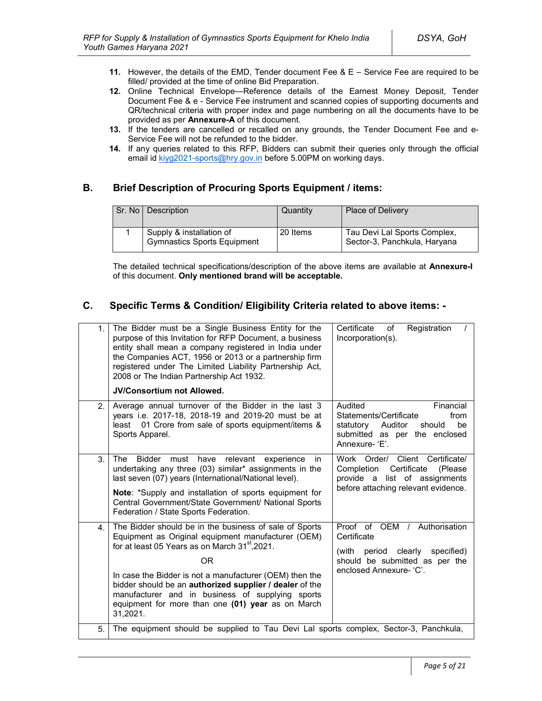- **11.** However, the details of the EMD, Tender document Fee & E Service Fee are required to be filled/ provided at the time of online Bid Preparation.
- **12.** Online Technical Envelope—Reference details of the Earnest Money Deposit, Tender Document Fee & e - Service Fee instrument and scanned copies of supporting documents and QR/technical criteria with proper index and page numbering on all the documents have to be provided as per **Annexure-A** of this document.
- **13.** If the tenders are cancelled or recalled on any grounds, the Tender Document Fee and e-Service Fee will not be refunded to the bidder.
- **14.** If any queries related to this RFP, Bidders can submit their queries only through the official email id kiyg2021-sports@hry.gov.in before 5.00PM on working days.

## **B. Brief Description of Procuring Sports Equipment / items:**

| Sr. No   Description                                           | Quantity | <b>Place of Delivery</b>                                     |
|----------------------------------------------------------------|----------|--------------------------------------------------------------|
| Supply & installation of<br><b>Gymnastics Sports Equipment</b> | 20 Items | Tau Devi Lal Sports Complex,<br>Sector-3, Panchkula, Haryana |

The detailed technical specifications/description of the above items are available at **Annexure-I** of this document. **Only mentioned brand will be acceptable.**

## **C. Specific Terms & Condition/ Eligibility Criteria related to above items: -**

| 1. | The Bidder must be a Single Business Entity for the<br>purpose of this Invitation for RFP Document, a business<br>entity shall mean a company registered in India under<br>the Companies ACT, 1956 or 2013 or a partnership firm<br>registered under The Limited Liability Partnership Act,<br>2008 or The Indian Partnership Act 1932.<br><b>JV/Consortium not Allowed.</b>                                                       | Certificate<br>Registration<br>of<br>Incorporation(s).                                                                                            |
|----|------------------------------------------------------------------------------------------------------------------------------------------------------------------------------------------------------------------------------------------------------------------------------------------------------------------------------------------------------------------------------------------------------------------------------------|---------------------------------------------------------------------------------------------------------------------------------------------------|
| 2. | Average annual turnover of the Bidder in the last 3<br>years i.e. 2017-18, 2018-19 and 2019-20 must be at<br>01 Crore from sale of sports equipment/items &<br>least<br>Sports Apparel.                                                                                                                                                                                                                                            | Audited<br>Financial<br>Statements/Certificate<br>from<br>statutory<br>Auditor<br>be<br>should<br>submitted as per the enclosed<br>Annexure-'E'.  |
| 3. | <b>Bidder</b><br>relevant<br>The<br>must<br>have<br>experience<br>in.<br>undertaking any three (03) similar* assignments in the<br>last seven (07) years (International/National level).<br>Note: *Supply and installation of sports equipment for<br>Central Government/State Government/ National Sports<br>Federation / State Sports Federation.                                                                                | Work Order/ Client Certificate/<br>Certificate<br>Completion<br>(Please)<br>provide a list of assignments<br>before attaching relevant evidence.  |
| 4. | The Bidder should be in the business of sale of Sports<br>Equipment as Original equipment manufacturer (OEM)<br>for at least 05 Years as on March 31 <sup>st</sup> , 2021.<br><b>OR</b><br>In case the Bidder is not a manufacturer (OEM) then the<br>bidder should be an authorized supplier / dealer of the<br>manufacturer and in business of supplying sports<br>equipment for more than one (01) year as on March<br>31,2021. | Proof of OEM /<br>Authorisation<br>Certificate<br>(with period clearly<br>specified)<br>should be submitted as per the<br>enclosed Annexure- 'C'. |
| 5. | The equipment should be supplied to Tau Devi Lal sports complex, Sector-3, Panchkula,                                                                                                                                                                                                                                                                                                                                              |                                                                                                                                                   |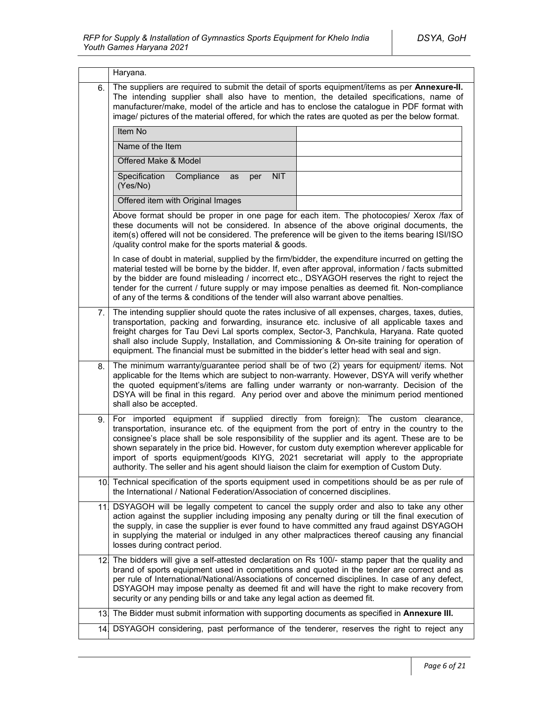|     | Haryana.                                                                                                                                                                                                                                                                                                                                                                                                                                                                                                                                                                  |  |
|-----|---------------------------------------------------------------------------------------------------------------------------------------------------------------------------------------------------------------------------------------------------------------------------------------------------------------------------------------------------------------------------------------------------------------------------------------------------------------------------------------------------------------------------------------------------------------------------|--|
| 6.  | The suppliers are required to submit the detail of sports equipment/items as per Annexure-II.<br>The intending supplier shall also have to mention, the detailed specifications, name of<br>manufacturer/make, model of the article and has to enclose the catalogue in PDF format with<br>image/ pictures of the material offered, for which the rates are quoted as per the below format.                                                                                                                                                                               |  |
|     | Item No                                                                                                                                                                                                                                                                                                                                                                                                                                                                                                                                                                   |  |
|     | Name of the Item                                                                                                                                                                                                                                                                                                                                                                                                                                                                                                                                                          |  |
|     | Offered Make & Model                                                                                                                                                                                                                                                                                                                                                                                                                                                                                                                                                      |  |
|     | Specification<br>Compliance<br><b>NIT</b><br>as<br>per<br>(Yes/No)                                                                                                                                                                                                                                                                                                                                                                                                                                                                                                        |  |
|     | Offered item with Original Images                                                                                                                                                                                                                                                                                                                                                                                                                                                                                                                                         |  |
|     | Above format should be proper in one page for each item. The photocopies/ Xerox /fax of<br>these documents will not be considered. In absence of the above original documents, the<br>item(s) offered will not be considered. The preference will be given to the items bearing ISI/ISO<br>/quality control make for the sports material & goods.                                                                                                                                                                                                                         |  |
|     | In case of doubt in material, supplied by the firm/bidder, the expenditure incurred on getting the<br>material tested will be borne by the bidder. If, even after approval, information / facts submitted<br>by the bidder are found misleading / incorrect etc., DSYAGOH reserves the right to reject the<br>tender for the current / future supply or may impose penalties as deemed fit. Non-compliance<br>of any of the terms & conditions of the tender will also warrant above penalties.                                                                           |  |
| 7.  | The intending supplier should quote the rates inclusive of all expenses, charges, taxes, duties,<br>transportation, packing and forwarding, insurance etc. inclusive of all applicable taxes and<br>freight charges for Tau Devi Lal sports complex, Sector-3, Panchkula, Haryana. Rate quoted<br>shall also include Supply, Installation, and Commissioning & On-site training for operation of<br>equipment. The financial must be submitted in the bidder's letter head with seal and sign.                                                                            |  |
| 8.  | The minimum warranty/guarantee period shall be of two (2) years for equipment/ items. Not<br>applicable for the Items which are subject to non-warranty. However, DSYA will verify whether<br>the quoted equipment's/items are falling under warranty or non-warranty. Decision of the<br>DSYA will be final in this regard. Any period over and above the minimum period mentioned<br>shall also be accepted.                                                                                                                                                            |  |
| 9.  | For imported equipment if supplied directly from foreign): The custom clearance,<br>transportation, insurance etc. of the equipment from the port of entry in the country to the<br>consignee's place shall be sole responsibility of the supplier and its agent. These are to be<br>shown separately in the price bid. However, for custom duty exemption wherever applicable for<br>import of sports equipment/goods KIYG, 2021 secretariat will apply to the appropriate<br>authority. The seller and his agent should liaison the claim for exemption of Custom Duty. |  |
| 10. | Technical specification of the sports equipment used in competitions should be as per rule of<br>the International / National Federation/Association of concerned disciplines.                                                                                                                                                                                                                                                                                                                                                                                            |  |
| 111 | DSYAGOH will be legally competent to cancel the supply order and also to take any other<br>action against the supplier including imposing any penalty during or till the final execution of<br>the supply, in case the supplier is ever found to have committed any fraud against DSYAGOH<br>in supplying the material or indulged in any other malpractices thereof causing any financial<br>losses during contract period.                                                                                                                                              |  |
|     | 12. The bidders will give a self-attested declaration on Rs 100/- stamp paper that the quality and<br>brand of sports equipment used in competitions and quoted in the tender are correct and as<br>per rule of International/National/Associations of concerned disciplines. In case of any defect,<br>DSYAGOH may impose penalty as deemed fit and will have the right to make recovery from<br>security or any pending bills or and take any legal action as deemed fit.                                                                                               |  |
| 13. | The Bidder must submit information with supporting documents as specified in Annexure III.                                                                                                                                                                                                                                                                                                                                                                                                                                                                                |  |
|     | 14. DSYAGOH considering, past performance of the tenderer, reserves the right to reject any                                                                                                                                                                                                                                                                                                                                                                                                                                                                               |  |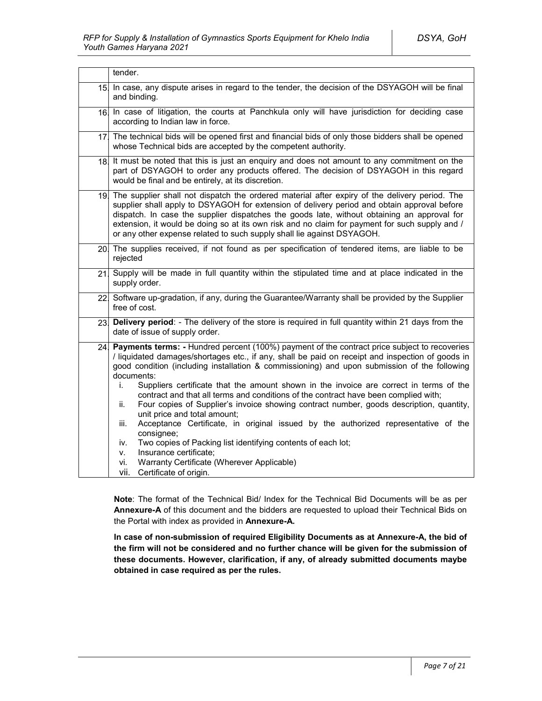|                 | tender.                                                                                                                                                                                                                                                                                                                                                                                                                                                                                                                                                                                                                                                                                                                                                                                                                                                                                                                                                  |  |
|-----------------|----------------------------------------------------------------------------------------------------------------------------------------------------------------------------------------------------------------------------------------------------------------------------------------------------------------------------------------------------------------------------------------------------------------------------------------------------------------------------------------------------------------------------------------------------------------------------------------------------------------------------------------------------------------------------------------------------------------------------------------------------------------------------------------------------------------------------------------------------------------------------------------------------------------------------------------------------------|--|
| 15 <sub>l</sub> | In case, any dispute arises in regard to the tender, the decision of the DSYAGOH will be final<br>and binding.                                                                                                                                                                                                                                                                                                                                                                                                                                                                                                                                                                                                                                                                                                                                                                                                                                           |  |
| 16.             | In case of litigation, the courts at Panchkula only will have jurisdiction for deciding case<br>according to Indian law in force.                                                                                                                                                                                                                                                                                                                                                                                                                                                                                                                                                                                                                                                                                                                                                                                                                        |  |
|                 | 17 The technical bids will be opened first and financial bids of only those bidders shall be opened<br>whose Technical bids are accepted by the competent authority.                                                                                                                                                                                                                                                                                                                                                                                                                                                                                                                                                                                                                                                                                                                                                                                     |  |
|                 | 18. It must be noted that this is just an enquiry and does not amount to any commitment on the<br>part of DSYAGOH to order any products offered. The decision of DSYAGOH in this regard<br>would be final and be entirely, at its discretion.                                                                                                                                                                                                                                                                                                                                                                                                                                                                                                                                                                                                                                                                                                            |  |
|                 | 19. The supplier shall not dispatch the ordered material after expiry of the delivery period. The<br>supplier shall apply to DSYAGOH for extension of delivery period and obtain approval before<br>dispatch. In case the supplier dispatches the goods late, without obtaining an approval for<br>extension, it would be doing so at its own risk and no claim for payment for such supply and /<br>or any other expense related to such supply shall lie against DSYAGOH.                                                                                                                                                                                                                                                                                                                                                                                                                                                                              |  |
|                 | 20. The supplies received, if not found as per specification of tendered items, are liable to be<br>rejected                                                                                                                                                                                                                                                                                                                                                                                                                                                                                                                                                                                                                                                                                                                                                                                                                                             |  |
| 21.             | Supply will be made in full quantity within the stipulated time and at place indicated in the<br>supply order.                                                                                                                                                                                                                                                                                                                                                                                                                                                                                                                                                                                                                                                                                                                                                                                                                                           |  |
|                 | 22 Software up-gradation, if any, during the Guarantee/Warranty shall be provided by the Supplier<br>free of cost.                                                                                                                                                                                                                                                                                                                                                                                                                                                                                                                                                                                                                                                                                                                                                                                                                                       |  |
| 23.             | Delivery period: - The delivery of the store is required in full quantity within 21 days from the<br>date of issue of supply order.                                                                                                                                                                                                                                                                                                                                                                                                                                                                                                                                                                                                                                                                                                                                                                                                                      |  |
| 24.             | <b>Payments terms:</b> - Hundred percent (100%) payment of the contract price subject to recoveries<br>/ liquidated damages/shortages etc., if any, shall be paid on receipt and inspection of goods in<br>good condition (including installation & commissioning) and upon submission of the following<br>documents:<br>Suppliers certificate that the amount shown in the invoice are correct in terms of the<br>i.<br>contract and that all terms and conditions of the contract have been complied with;<br>Four copies of Supplier's invoice showing contract number, goods description, quantity,<br>ii.<br>unit price and total amount;<br>Acceptance Certificate, in original issued by the authorized representative of the<br>iii.<br>consignee;<br>Two copies of Packing list identifying contents of each lot;<br>iv.<br>Insurance certificate;<br>v.<br>Warranty Certificate (Wherever Applicable)<br>vi.<br>vii.<br>Certificate of origin. |  |

**Note**: The format of the Technical Bid/ Index for the Technical Bid Documents will be as per **Annexure-A** of this document and the bidders are requested to upload their Technical Bids on the Portal with index as provided in **Annexure-A.**

**In case of non-submission of required Eligibility Documents as at Annexure-A, the bid of the firm will not be considered and no further chance will be given for the submission of these documents. However, clarification, if any, of already submitted documents maybe obtained in case required as per the rules.**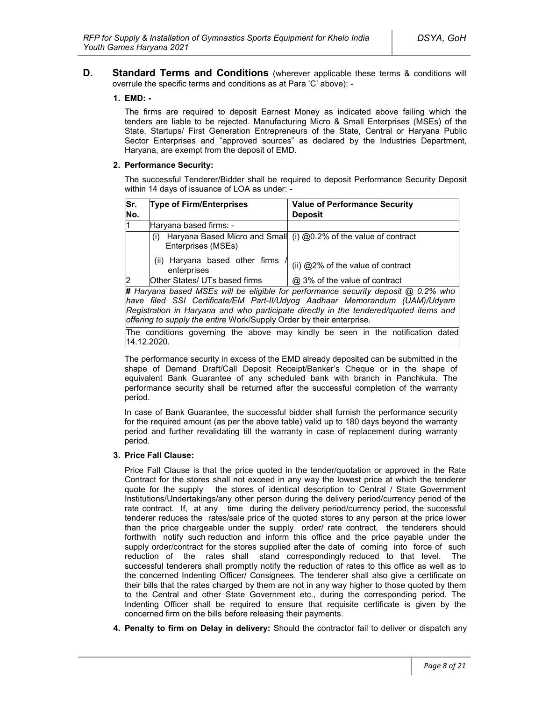**D. Standard Terms and Conditions** (wherever applicable these terms & conditions will overrule the specific terms and conditions as at Para 'C' above): -

#### **1. EMD: -**

The firms are required to deposit Earnest Money as indicated above failing which the tenders are liable to be rejected. Manufacturing Micro & Small Enterprises (MSEs) of the State, Startups/ First Generation Entrepreneurs of the State, Central or Haryana Public Sector Enterprises and "approved sources" as declared by the Industries Department, Haryana, are exempt from the deposit of EMD.

#### **2. Performance Security:**

The successful Tenderer/Bidder shall be required to deposit Performance Security Deposit within 14 days of issuance of LOA as under: -

| Sr. | <b>Type of Firm/Enterprises</b>                                                   | <b>Value of Performance Security</b>                             |
|-----|-----------------------------------------------------------------------------------|------------------------------------------------------------------|
| No. |                                                                                   | <b>Deposit</b>                                                   |
| l1  | Haryana based firms: -                                                            |                                                                  |
|     | (i)<br>Enterprises (MSEs)                                                         | Haryana Based Micro and Small (i) @0.2% of the value of contract |
|     | Haryana based other firms<br>(ii)<br>enterprises                                  | (ii) @2% of the value of contract                                |
| 2   | Other States/ UTs based firms                                                     | @ 3% of the value of contract                                    |
|     | # Haryana based MSEs will be eligible for performance security deposit @ 0.2% who |                                                                  |

*have filed SSI Certificate/EM Part-II/Udyog Aadhaar Memorandum (UAM)/Udyam Registration in Haryana and who participate directly in the tendered/quoted items and offering to supply the entire* Work/Supply Order by their enterprise*.*

The conditions governing the above may kindly be seen in the notification dated 14.12.2020.

The performance security in excess of the EMD already deposited can be submitted in the shape of Demand Draft/Call Deposit Receipt/Banker's Cheque or in the shape of equivalent Bank Guarantee of any scheduled bank with branch in Panchkula. The performance security shall be returned after the successful completion of the warranty period.

In case of Bank Guarantee, the successful bidder shall furnish the performance security for the required amount (as per the above table) valid up to 180 days beyond the warranty period and further revalidating till the warranty in case of replacement during warranty period.

#### **3. Price Fall Clause:**

Price Fall Clause is that the price quoted in the tender/quotation or approved in the Rate Contract for the stores shall not exceed in any way the lowest price at which the tenderer quote for the supply the stores of identical description to Central / State Government Institutions/Undertakings/any other person during the delivery period/currency period of the rate contract. If, at any time during the delivery period/currency period, the successful tenderer reduces the rates/sale price of the quoted stores to any person at the price lower than the price chargeable under the supply order/ rate contract, the tenderers should forthwith notify such reduction and inform this office and the price payable under the supply order/contract for the stores supplied after the date of coming into force of such reduction of the rates shall stand correspondingly reduced to that level. The successful tenderers shall promptly notify the reduction of rates to this office as well as to the concerned Indenting Officer/ Consignees. The tenderer shall also give a certificate on their bills that the rates charged by them are not in any way higher to those quoted by them to the Central and other State Government etc., during the corresponding period. The Indenting Officer shall be required to ensure that requisite certificate is given by the concerned firm on the bills before releasing their payments.

**4. Penalty to firm on Delay in delivery:** Should the contractor fail to deliver or dispatch any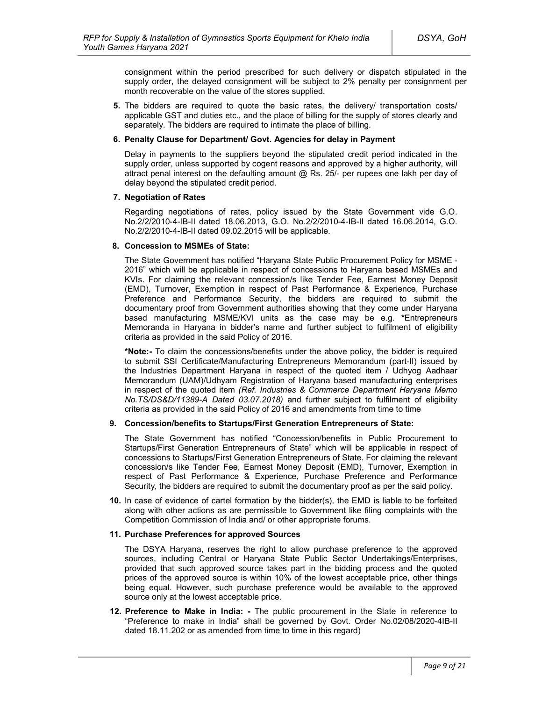consignment within the period prescribed for such delivery or dispatch stipulated in the supply order, the delayed consignment will be subject to 2% penalty per consignment per month recoverable on the value of the stores supplied.

**5.** The bidders are required to quote the basic rates, the delivery/ transportation costs/ applicable GST and duties etc., and the place of billing for the supply of stores clearly and separately. The bidders are required to intimate the place of billing.

#### **6. Penalty Clause for Department/ Govt. Agencies for delay in Payment**

Delay in payments to the suppliers beyond the stipulated credit period indicated in the supply order, unless supported by cogent reasons and approved by a higher authority, will attract penal interest on the defaulting amount  $@$  Rs. 25/- per rupees one lakh per day of delay beyond the stipulated credit period.

#### **7. Negotiation of Rates**

Regarding negotiations of rates, policy issued by the State Government vide G.O. No.2/2/2010-4-IB-II dated 18.06.2013, G.O. No.2/2/2010-4-IB-II dated 16.06.2014, G.O. No.2/2/2010-4-IB-II dated 09.02.2015 will be applicable.

#### **8. Concession to MSMEs of State:**

The State Government has notified "Haryana State Public Procurement Policy for MSME - 2016" which will be applicable in respect of concessions to Haryana based MSMEs and KVIs. For claiming the relevant concession/s like Tender Fee, Earnest Money Deposit (EMD), Turnover, Exemption in respect of Past Performance & Experience, Purchase Preference and Performance Security, the bidders are required to submit the documentary proof from Government authorities showing that they come under Haryana based manufacturing MSME/KVI units as the case may be e.g. **\***Entrepreneurs Memoranda in Haryana in bidder's name and further subject to fulfilment of eligibility criteria as provided in the said Policy of 2016.

**\*Note:-** To claim the concessions/benefits under the above policy, the bidder is required to submit SSI Certificate/Manufacturing Entrepreneurs Memorandum (part-II) issued by the Industries Department Haryana in respect of the quoted item / Udhyog Aadhaar Memorandum (UAM)/Udhyam Registration of Haryana based manufacturing enterprises in respect of the quoted item *(Ref. Industries & Commerce Department Haryana Memo No.TS/DS&D/11389-A Dated 03.07.2018)* and further subject to fulfilment of eligibility criteria as provided in the said Policy of 2016 and amendments from time to time

#### **9. Concession/benefits to Startups/First Generation Entrepreneurs of State:**

The State Government has notified "Concession/benefits in Public Procurement to Startups/First Generation Entrepreneurs of State" which will be applicable in respect of concessions to Startups/First Generation Entrepreneurs of State. For claiming the relevant concession/s like Tender Fee, Earnest Money Deposit (EMD), Turnover, Exemption in respect of Past Performance & Experience, Purchase Preference and Performance Security, the bidders are required to submit the documentary proof as per the said policy.

**10.** In case of evidence of cartel formation by the bidder(s), the EMD is liable to be forfeited along with other actions as are permissible to Government like filing complaints with the Competition Commission of India and/ or other appropriate forums.

#### **11. Purchase Preferences for approved Sources**

The DSYA Haryana, reserves the right to allow purchase preference to the approved sources, including Central or Haryana State Public Sector Undertakings/Enterprises, provided that such approved source takes part in the bidding process and the quoted prices of the approved source is within 10% of the lowest acceptable price, other things being equal. However, such purchase preference would be available to the approved source only at the lowest acceptable price.

**12. Preference to Make in India: -** The public procurement in the State in reference to "Preference to make in India" shall be governed by Govt. Order No.02/08/2020-4IB-II dated 18.11.202 or as amended from time to time in this regard)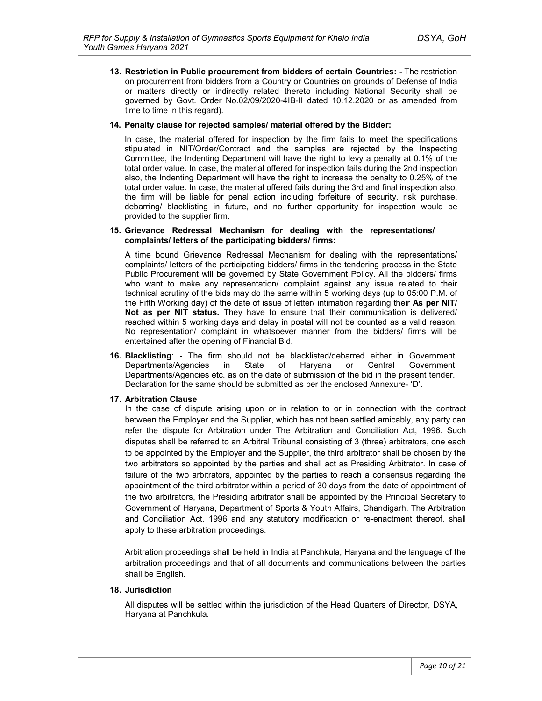**13. Restriction in Public procurement from bidders of certain Countries: -** The restriction on procurement from bidders from a Country or Countries on grounds of Defense of India or matters directly or indirectly related thereto including National Security shall be governed by Govt. Order No.02/09/2020-4IB-II dated 10.12.2020 or as amended from time to time in this regard).

#### **14. Penalty clause for rejected samples/ material offered by the Bidder:**

In case, the material offered for inspection by the firm fails to meet the specifications stipulated in NIT/Order/Contract and the samples are rejected by the Inspecting Committee, the Indenting Department will have the right to levy a penalty at 0.1% of the total order value. In case, the material offered for inspection fails during the 2nd inspection also, the Indenting Department will have the right to increase the penalty to 0.25% of the total order value. In case, the material offered fails during the 3rd and final inspection also, the firm will be liable for penal action including forfeiture of security, risk purchase, debarring/ blacklisting in future, and no further opportunity for inspection would be provided to the supplier firm.

#### **15. Grievance Redressal Mechanism for dealing with the representations/ complaints/ letters of the participating bidders/ firms:**

A time bound Grievance Redressal Mechanism for dealing with the representations/ complaints/ letters of the participating bidders/ firms in the tendering process in the State Public Procurement will be governed by State Government Policy. All the bidders/ firms who want to make any representation/ complaint against any issue related to their technical scrutiny of the bids may do the same within 5 working days (up to 05:00 P.M. of the Fifth Working day) of the date of issue of letter/ intimation regarding their **As per NIT/ Not as per NIT status.** They have to ensure that their communication is delivered/ reached within 5 working days and delay in postal will not be counted as a valid reason. No representation/ complaint in whatsoever manner from the bidders/ firms will be entertained after the opening of Financial Bid.

**16. Blacklisting**: - The firm should not be blacklisted/debarred either in Government Departments/Agencies in State of Haryana or Central Government Departments/Agencies etc. as on the date of submission of the bid in the present tender. Declaration for the same should be submitted as per the enclosed Annexure- 'D'.

### **17. Arbitration Clause**

In the case of dispute arising upon or in relation to or in connection with the contract between the Employer and the Supplier, which has not been settled amicably, any party can refer the dispute for Arbitration under The Arbitration and Conciliation Act, 1996. Such disputes shall be referred to an Arbitral Tribunal consisting of 3 (three) arbitrators, one each to be appointed by the Employer and the Supplier, the third arbitrator shall be chosen by the two arbitrators so appointed by the parties and shall act as Presiding Arbitrator. In case of failure of the two arbitrators, appointed by the parties to reach a consensus regarding the appointment of the third arbitrator within a period of 30 days from the date of appointment of the two arbitrators, the Presiding arbitrator shall be appointed by the Principal Secretary to Government of Haryana, Department of Sports & Youth Affairs, Chandigarh. The Arbitration and Conciliation Act, 1996 and any statutory modification or re-enactment thereof, shall apply to these arbitration proceedings.

Arbitration proceedings shall be held in India at Panchkula, Haryana and the language of the arbitration proceedings and that of all documents and communications between the parties shall be English.

#### **18. Jurisdiction**

All disputes will be settled within the jurisdiction of the Head Quarters of Director, DSYA, Haryana at Panchkula.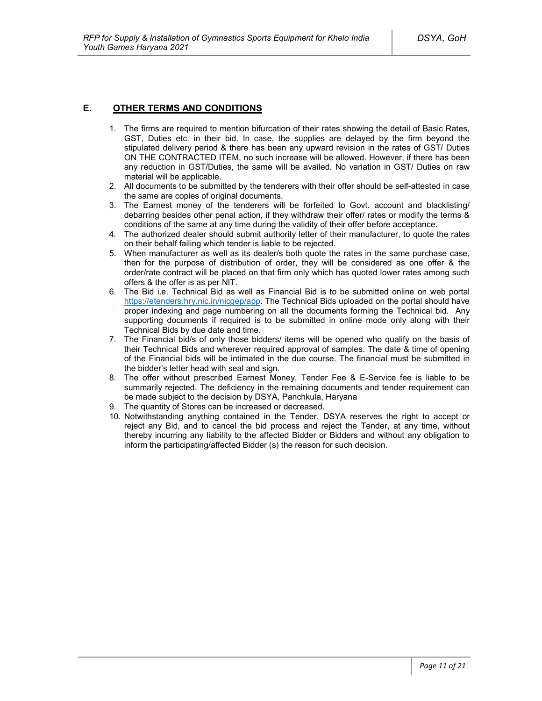### **E. OTHER TERMS AND CONDITIONS**

- 1. The firms are required to mention bifurcation of their rates showing the detail of Basic Rates, GST, Duties etc. in their bid. In case, the supplies are delayed by the firm beyond the stipulated delivery period & there has been any upward revision in the rates of GST/ Duties ON THE CONTRACTED ITEM, no such increase will be allowed. However, if there has been any reduction in GST/Duties, the same will be availed. No variation in GST/ Duties on raw material will be applicable.
- 2. All documents to be submitted by the tenderers with their offer should be self-attested in case the same are copies of original documents.
- 3. The Earnest money of the tenderers will be forfeited to Govt. account and blacklisting/ debarring besides other penal action, if they withdraw their offer/ rates or modify the terms & conditions of the same at any time during the validity of their offer before acceptance.
- 4. The authorized dealer should submit authority letter of their manufacturer, to quote the rates on their behalf failing which tender is liable to be rejected.
- 5. When manufacturer as well as its dealer/s both quote the rates in the same purchase case, then for the purpose of distribution of order, they will be considered as one offer & the order/rate contract will be placed on that firm only which has quoted lower rates among such offers & the offer is as per NIT.
- 6. The Bid i.e. Technical Bid as well as Financial Bid is to be submitted online on web portal https://etenders.hry.nic.in/nicgep/app. The Technical Bids uploaded on the portal should have proper indexing and page numbering on all the documents forming the Technical bid. Any supporting documents if required is to be submitted in online mode only along with their Technical Bids by due date and time.
- 7. The Financial bid/s of only those bidders/ items will be opened who qualify on the basis of their Technical Bids and wherever required approval of samples. The date & time of opening of the Financial bids will be intimated in the due course. The financial must be submitted in the bidder's letter head with seal and sign.
- 8. The offer without prescribed Earnest Money, Tender Fee & E-Service fee is liable to be summarily rejected. The deficiency in the remaining documents and tender requirement can be made subject to the decision by DSYA, Panchkula, Haryana
- 9. The quantity of Stores can be increased or decreased.
- 10. Notwithstanding anything contained in the Tender, DSYA reserves the right to accept or reject any Bid, and to cancel the bid process and reject the Tender, at any time, without thereby incurring any liability to the affected Bidder or Bidders and without any obligation to inform the participating/affected Bidder (s) the reason for such decision.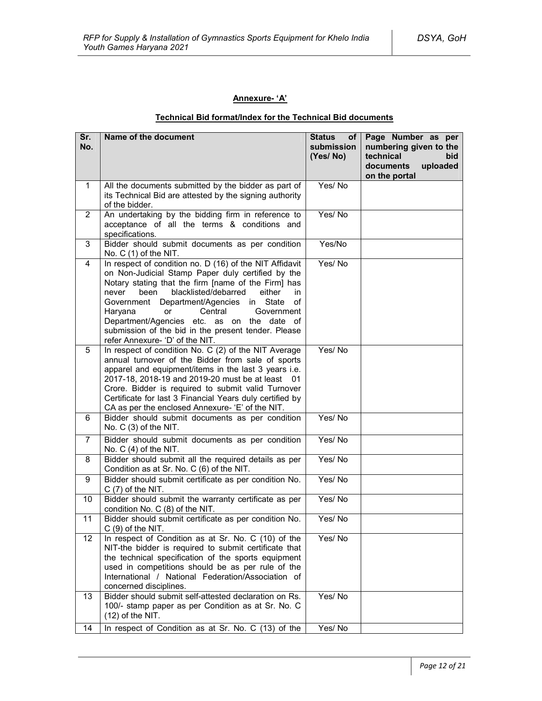## **Annexure- 'A'**

### **Technical Bid format/Index for the Technical Bid documents**

| Sr.<br>No.              | Name of the document                                                                                                                                                                                                                                                                                                                                                                                                                                                    | <b>Status</b><br>of <sub>1</sub><br>submission<br>(Yes/No) | Page Number as per<br>numbering given to the<br>technical<br>bid<br>documents<br>uploaded<br>on the portal |
|-------------------------|-------------------------------------------------------------------------------------------------------------------------------------------------------------------------------------------------------------------------------------------------------------------------------------------------------------------------------------------------------------------------------------------------------------------------------------------------------------------------|------------------------------------------------------------|------------------------------------------------------------------------------------------------------------|
| $\mathbf{1}$            | All the documents submitted by the bidder as part of<br>its Technical Bid are attested by the signing authority<br>of the bidder.                                                                                                                                                                                                                                                                                                                                       | Yes/No                                                     |                                                                                                            |
| $\overline{2}$          | An undertaking by the bidding firm in reference to<br>acceptance of all the terms & conditions and<br>specifications.                                                                                                                                                                                                                                                                                                                                                   | Yes/No                                                     |                                                                                                            |
| 3                       | Bidder should submit documents as per condition<br>No. $C(1)$ of the NIT.                                                                                                                                                                                                                                                                                                                                                                                               | Yes/No                                                     |                                                                                                            |
| $\overline{\mathbf{4}}$ | In respect of condition no. D (16) of the NIT Affidavit<br>on Non-Judicial Stamp Paper duly certified by the<br>Notary stating that the firm [name of the Firm] has<br>blacklisted/debarred<br>either<br>never<br>been<br>in.<br>Government Department/Agencies in State<br>οf<br>Haryana<br>Central<br>Government<br><b>or</b><br>Department/Agencies etc. as on the date of<br>submission of the bid in the present tender. Please<br>refer Annexure- 'D' of the NIT. | Yes/No                                                     |                                                                                                            |
| 5                       | In respect of condition No. C (2) of the NIT Average<br>annual turnover of the Bidder from sale of sports<br>apparel and equipment/items in the last 3 years i.e.<br>2017-18, 2018-19 and 2019-20 must be at least 01<br>Crore. Bidder is required to submit valid Turnover<br>Certificate for last 3 Financial Years duly certified by<br>CA as per the enclosed Annexure- 'E' of the NIT.                                                                             | Yes/No                                                     |                                                                                                            |
| 6                       | Bidder should submit documents as per condition<br>No. C (3) of the NIT.                                                                                                                                                                                                                                                                                                                                                                                                | Yes/No                                                     |                                                                                                            |
| $\overline{7}$          | Bidder should submit documents as per condition<br>No. $C(4)$ of the NIT.                                                                                                                                                                                                                                                                                                                                                                                               | Yes/No                                                     |                                                                                                            |
| 8                       | Bidder should submit all the required details as per<br>Condition as at Sr. No. C (6) of the NIT.                                                                                                                                                                                                                                                                                                                                                                       | Yes/No                                                     |                                                                                                            |
| 9                       | Bidder should submit certificate as per condition No.<br>$C(7)$ of the NIT.                                                                                                                                                                                                                                                                                                                                                                                             | Yes/No                                                     |                                                                                                            |
| 10                      | Bidder should submit the warranty certificate as per<br>condition No. C (8) of the NIT.                                                                                                                                                                                                                                                                                                                                                                                 | Yes/No                                                     |                                                                                                            |
| 11                      | Bidder should submit certificate as per condition No.<br>$C(9)$ of the NIT.                                                                                                                                                                                                                                                                                                                                                                                             | Yes/No                                                     |                                                                                                            |
| 12                      | In respect of Condition as at Sr. No. C (10) of the<br>NIT-the bidder is required to submit certificate that<br>the technical specification of the sports equipment<br>used in competitions should be as per rule of the<br>International / National Federation/Association of<br>concerned disciplines.                                                                                                                                                                | Yes/No                                                     |                                                                                                            |
| 13                      | Bidder should submit self-attested declaration on Rs.<br>100/- stamp paper as per Condition as at Sr. No. C<br>$(12)$ of the NIT.                                                                                                                                                                                                                                                                                                                                       | Yes/No                                                     |                                                                                                            |
| 14                      | In respect of Condition as at Sr. No. C (13) of the                                                                                                                                                                                                                                                                                                                                                                                                                     | Yes/No                                                     |                                                                                                            |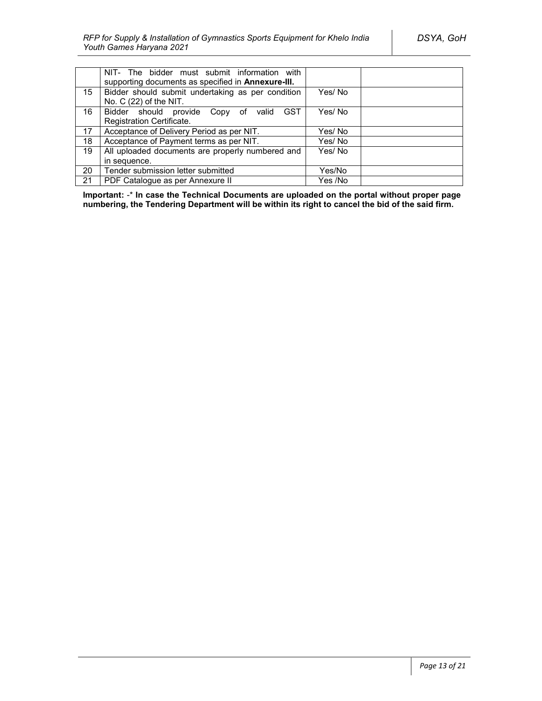|                  | NIT- The bidder must submit information with<br>supporting documents as specified in Annexure-III. |         |  |
|------------------|----------------------------------------------------------------------------------------------------|---------|--|
| 15 <sup>15</sup> | Bidder should submit undertaking as per condition<br>No. $C(22)$ of the NIT.                       | Yes/No  |  |
| 16               | <b>GST</b><br>Bidder should provide Copy of valid                                                  | Yes/No  |  |
|                  | Registration Certificate.                                                                          |         |  |
| 17               | Acceptance of Delivery Period as per NIT.                                                          | Yes/ No |  |
| 18               | Acceptance of Payment terms as per NIT.                                                            | Yes/ No |  |
| 19               | All uploaded documents are properly numbered and                                                   | Yes/No  |  |
|                  | in sequence.                                                                                       |         |  |
| 20               | Tender submission letter submitted                                                                 | Yes/No  |  |
| 21               | PDF Catalogue as per Annexure II                                                                   | Yes /No |  |

**Important:** -\* **In case the Technical Documents are uploaded on the portal without proper page numbering, the Tendering Department will be within its right to cancel the bid of the said firm.**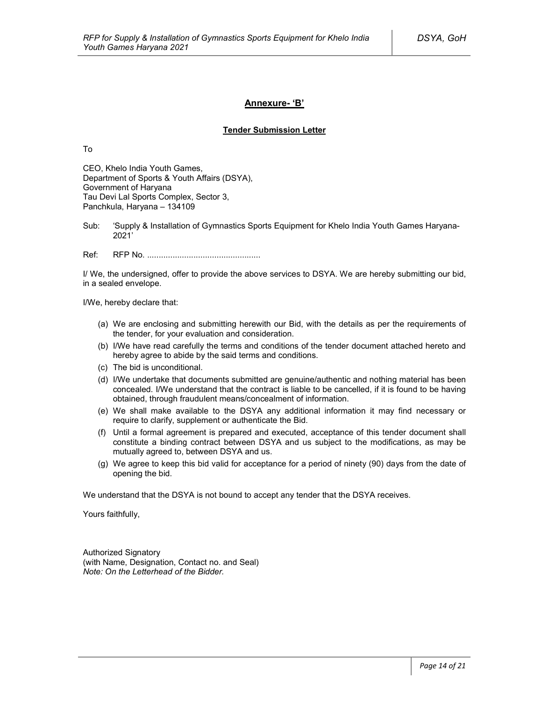### **Annexure- 'B'**

#### **Tender Submission Letter**

To

CEO, Khelo India Youth Games, Department of Sports & Youth Affairs (DSYA), Government of Haryana Tau Devi Lal Sports Complex, Sector 3, Panchkula, Haryana – 134109

Sub: 'Supply & Installation of Gymnastics Sports Equipment for Khelo India Youth Games Haryana-2021'

Ref: RFP No. .................................................

I/ We, the undersigned, offer to provide the above services to DSYA. We are hereby submitting our bid, in a sealed envelope.

I/We, hereby declare that:

- (a) We are enclosing and submitting herewith our Bid, with the details as per the requirements of the tender, for your evaluation and consideration.
- (b) I/We have read carefully the terms and conditions of the tender document attached hereto and hereby agree to abide by the said terms and conditions.
- (c) The bid is unconditional.
- (d) I/We undertake that documents submitted are genuine/authentic and nothing material has been concealed. I/We understand that the contract is liable to be cancelled, if it is found to be having obtained, through fraudulent means/concealment of information.
- (e) We shall make available to the DSYA any additional information it may find necessary or require to clarify, supplement or authenticate the Bid.
- (f) Until a formal agreement is prepared and executed, acceptance of this tender document shall constitute a binding contract between DSYA and us subject to the modifications, as may be mutually agreed to, between DSYA and us.
- (g) We agree to keep this bid valid for acceptance for a period of ninety (90) days from the date of opening the bid.

We understand that the DSYA is not bound to accept any tender that the DSYA receives.

Yours faithfully,

Authorized Signatory (with Name, Designation, Contact no. and Seal) *Note: On the Letterhead of the Bidder.*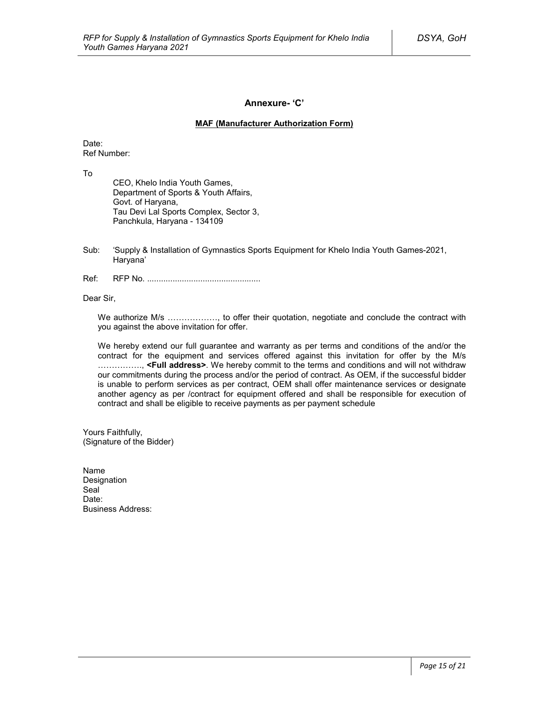### **Annexure- 'C'**

#### **MAF (Manufacturer Authorization Form)**

Date: Ref Number:

To

CEO, Khelo India Youth Games, Department of Sports & Youth Affairs, Govt. of Haryana, Tau Devi Lal Sports Complex, Sector 3, Panchkula, Haryana - 134109

- Sub: 'Supply & Installation of Gymnastics Sports Equipment for Khelo India Youth Games-2021, Haryana'
- Ref: RFP No. .................................................

Dear Sir,

We authorize M/s ………………, to offer their quotation, negotiate and conclude the contract with you against the above invitation for offer.

We hereby extend our full guarantee and warranty as per terms and conditions of the and/or the contract for the equipment and services offered against this invitation for offer by the M/s ……………., **<Full address>**. We hereby commit to the terms and conditions and will not withdraw our commitments during the process and/or the period of contract. As OEM, if the successful bidder is unable to perform services as per contract, OEM shall offer maintenance services or designate another agency as per /contract for equipment offered and shall be responsible for execution of contract and shall be eligible to receive payments as per payment schedule

Yours Faithfully, (Signature of the Bidder)

Name Designation Seal<sup>1</sup> Date<sup>-</sup> Business Address: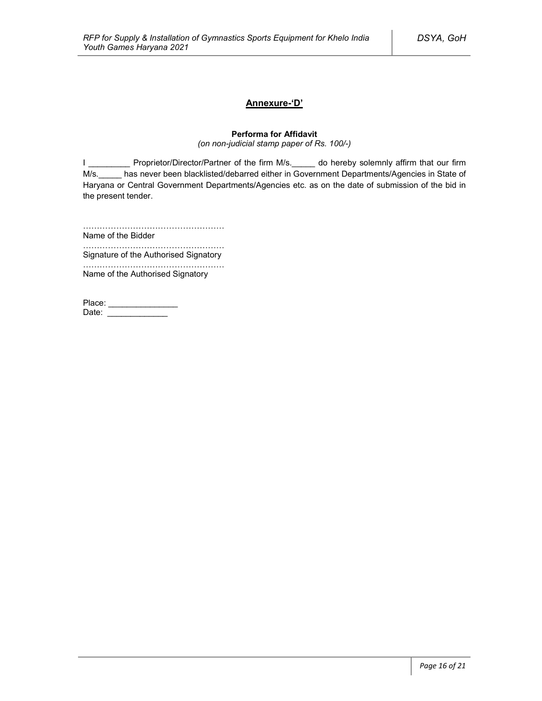### **Annexure-'D'**

### **Performa for Affidavit**

*(on non-judicial stamp paper of Rs. 100/-)*

I \_\_\_\_\_\_\_\_\_\_\_ Proprietor/Director/Partner of the firm M/s.\_\_\_\_\_ do hereby solemnly affirm that our firm M/s.\_\_\_\_\_ has never been blacklisted/debarred either in Government Departments/Agencies in State of Haryana or Central Government Departments/Agencies etc. as on the date of submission of the bid in the present tender.

……………………………………………

Name of the Bidder ……………………………………………

Signature of the Authorised Signatory

…………………………………………… Name of the Authorised Signatory

| Place: |  |
|--------|--|
| Date:  |  |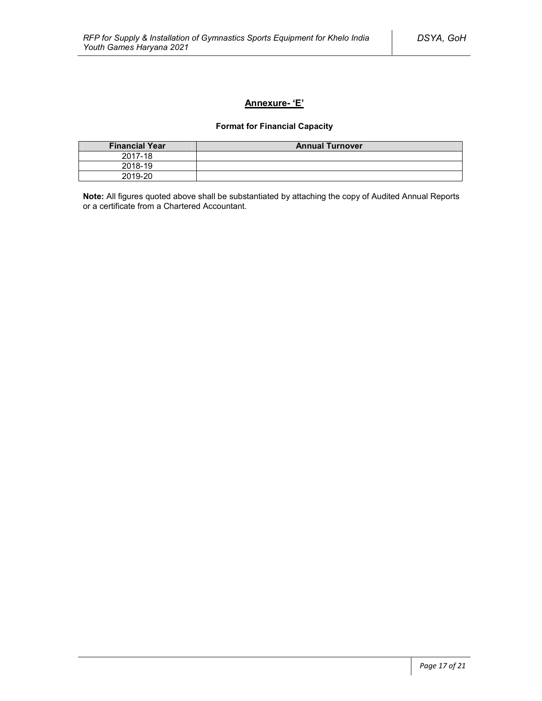### **Annexure- 'E'**

### **Format for Financial Capacity**

| <b>Financial Year</b> | <b>Annual Turnover</b> |
|-----------------------|------------------------|
| 2017-18               |                        |
| 2018-19               |                        |
| 2019-20               |                        |

**Note:** All figures quoted above shall be substantiated by attaching the copy of Audited Annual Reports or a certificate from a Chartered Accountant.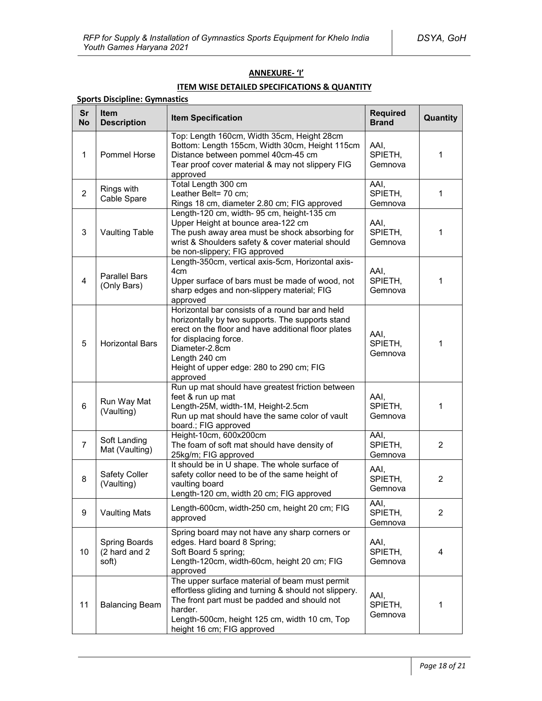#### **ANNEXURE- 'I'**

## **ITEM WISE DETAILED SPECIFICATIONS & QUANTITY**

| <b>Sports Discipline: Gymnastics</b> |                                         |                                                                                                                                                                                                                                                                                |                                 |                |  |  |
|--------------------------------------|-----------------------------------------|--------------------------------------------------------------------------------------------------------------------------------------------------------------------------------------------------------------------------------------------------------------------------------|---------------------------------|----------------|--|--|
| Sr<br><b>No</b>                      | Item<br><b>Description</b>              | <b>Item Specification</b>                                                                                                                                                                                                                                                      | <b>Required</b><br><b>Brand</b> | Quantity       |  |  |
| $\mathbf{1}$                         | <b>Pommel Horse</b>                     | Top: Length 160cm, Width 35cm, Height 28cm<br>Bottom: Length 155cm, Width 30cm, Height 115cm<br>Distance between pommel 40cm-45 cm<br>Tear proof cover material & may not slippery FIG<br>approved                                                                             | AAI,<br>SPIETH,<br>Gemnova      | 1              |  |  |
| $\overline{2}$                       | Rings with<br>Cable Spare               | Total Length 300 cm<br>Leather Belt= 70 cm;<br>Rings 18 cm, diameter 2.80 cm; FIG approved                                                                                                                                                                                     | AAI,<br>SPIETH,<br>Gemnova      | 1              |  |  |
| 3                                    | <b>Vaulting Table</b>                   | Length-120 cm, width-95 cm, height-135 cm<br>Upper Height at bounce area-122 cm<br>The push away area must be shock absorbing for<br>wrist & Shoulders safety & cover material should<br>be non-slippery; FIG approved                                                         | AAI,<br>SPIETH,<br>Gemnova      | 1              |  |  |
| 4                                    | <b>Parallel Bars</b><br>(Only Bars)     | Length-350cm, vertical axis-5cm, Horizontal axis-<br>4cm<br>Upper surface of bars must be made of wood, not<br>sharp edges and non-slippery material; FIG<br>approved                                                                                                          | AAI,<br>SPIETH,<br>Gemnova      | 1              |  |  |
| 5                                    | <b>Horizontal Bars</b>                  | Horizontal bar consists of a round bar and held<br>horizontally by two supports. The supports stand<br>erect on the floor and have additional floor plates<br>for displacing force.<br>Diameter-2.8cm<br>Length 240 cm<br>Height of upper edge: 280 to 290 cm; FIG<br>approved | AAI,<br>SPIETH.<br>Gemnova      | 1              |  |  |
| 6                                    | Run Way Mat<br>(Vaulting)               | Run up mat should have greatest friction between<br>feet & run up mat<br>Length-25M, width-1M, Height-2.5cm<br>Run up mat should have the same color of vault<br>board.; FIG approved                                                                                          | AAI,<br>SPIETH,<br>Gemnova      | 1              |  |  |
| $\overline{7}$                       | Soft Landing<br>Mat (Vaulting)          | Height-10cm, 600x200cm<br>The foam of soft mat should have density of<br>25kg/m; FIG approved                                                                                                                                                                                  | AAI,<br>SPIETH,<br>Gemnova      | $\overline{2}$ |  |  |
| 8                                    | Safety Coller<br>(Vaulting)             | It should be in U shape. The whole surface of<br>safety collor need to be of the same height of<br>vaulting board<br>Length-120 cm, width 20 cm; FIG approved                                                                                                                  | AAI,<br>SPIETH,<br>Gemnova      | 2              |  |  |
| 9                                    | <b>Vaulting Mats</b>                    | Length-600cm, width-250 cm, height 20 cm; FIG<br>approved                                                                                                                                                                                                                      | AAI,<br>SPIETH,<br>Gemnova      | $\overline{2}$ |  |  |
| 10                                   | Spring Boards<br>(2 hard and 2<br>soft) | Spring board may not have any sharp corners or<br>edges. Hard board 8 Spring;<br>Soft Board 5 spring;<br>Length-120cm, width-60cm, height 20 cm; FIG<br>approved                                                                                                               | AAI,<br>SPIETH,<br>Gemnova      | 4              |  |  |
| 11                                   | <b>Balancing Beam</b>                   | The upper surface material of beam must permit<br>effortless gliding and turning & should not slippery.<br>The front part must be padded and should not<br>harder.<br>Length-500cm, height 125 cm, width 10 cm, Top<br>height 16 cm; FIG approved                              | AAI,<br>SPIETH,<br>Gemnova      | 1              |  |  |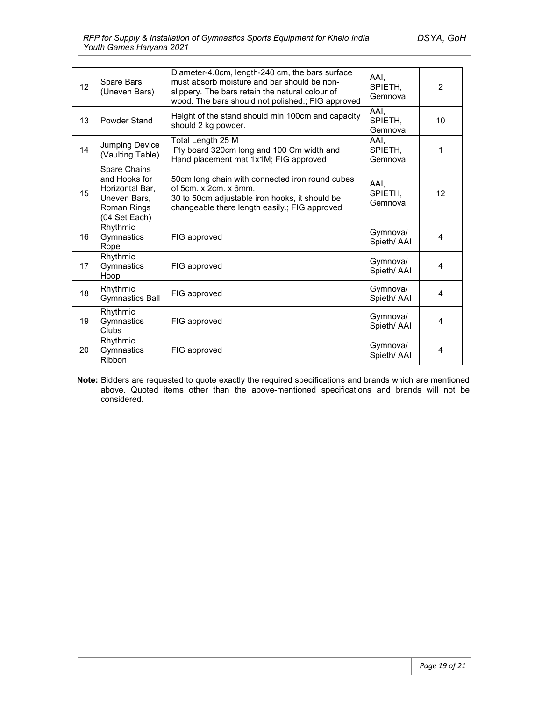| 12 | Spare Bars<br>(Uneven Bars)                                                                      | Diameter-4.0cm, length-240 cm, the bars surface<br>must absorb moisture and bar should be non-<br>slippery. The bars retain the natural colour of<br>wood. The bars should not polished.; FIG approved | AAI.<br>SPIETH,<br>Gemnova | 2  |
|----|--------------------------------------------------------------------------------------------------|--------------------------------------------------------------------------------------------------------------------------------------------------------------------------------------------------------|----------------------------|----|
| 13 | Powder Stand                                                                                     | Height of the stand should min 100cm and capacity<br>should 2 kg powder.                                                                                                                               | AAI,<br>SPIETH.<br>Gemnova | 10 |
| 14 | Jumping Device<br>(Vaulting Table)                                                               | Total Length 25 M<br>Ply board 320cm long and 100 Cm width and<br>Hand placement mat 1x1M; FIG approved                                                                                                | AAI.<br>SPIETH,<br>Gemnova | 1  |
| 15 | Spare Chains<br>and Hooks for<br>Horizontal Bar,<br>Uneven Bars,<br>Roman Rings<br>(04 Set Each) | 50cm long chain with connected iron round cubes<br>of 5cm. x 2cm. x 6mm.<br>30 to 50cm adjustable iron hooks, it should be<br>changeable there length easily .; FIG approved                           | AAI.<br>SPIETH,<br>Gemnova | 12 |
| 16 | Rhythmic<br>Gymnastics<br>Rope                                                                   | FIG approved                                                                                                                                                                                           | Gymnova/<br>Spieth/ AAI    | 4  |
| 17 | Rhythmic<br>Gymnastics<br>Hoop                                                                   | FIG approved                                                                                                                                                                                           | Gymnova/<br>Spieth/ AAI    | 4  |
| 18 | Rhythmic<br><b>Gymnastics Ball</b>                                                               | FIG approved                                                                                                                                                                                           | Gymnova/<br>Spieth/ AAI    | 4  |
| 19 | Rhythmic<br>Gymnastics<br>Clubs                                                                  | FIG approved                                                                                                                                                                                           | Gymnova/<br>Spieth/ AAI    | 4  |
| 20 | Rhythmic<br>Gymnastics<br>Ribbon                                                                 | FIG approved                                                                                                                                                                                           | Gymnova/<br>Spieth/ AAI    | 4  |

**Note:** Bidders are requested to quote exactly the required specifications and brands which are mentioned above. Quoted items other than the above-mentioned specifications and brands will not be considered.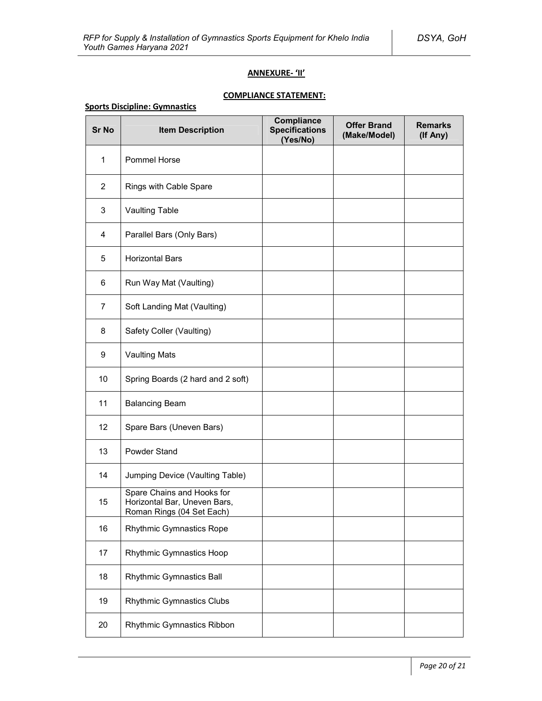### **ANNEXURE- 'II'**

# **COMPLIANCE STATEMENT:**

### **Sports Discipline: Gymnastics**

| <b>Sr No</b>   | <b>Item Description</b>                                                                 | Compliance<br><b>Specifications</b><br>(Yes/No) | <b>Offer Brand</b><br>(Make/Model) | <b>Remarks</b><br>(If Any) |
|----------------|-----------------------------------------------------------------------------------------|-------------------------------------------------|------------------------------------|----------------------------|
| $\mathbf{1}$   | <b>Pommel Horse</b>                                                                     |                                                 |                                    |                            |
| $\overline{2}$ | Rings with Cable Spare                                                                  |                                                 |                                    |                            |
| 3              | Vaulting Table                                                                          |                                                 |                                    |                            |
| 4              | Parallel Bars (Only Bars)                                                               |                                                 |                                    |                            |
| 5              | <b>Horizontal Bars</b>                                                                  |                                                 |                                    |                            |
| 6              | Run Way Mat (Vaulting)                                                                  |                                                 |                                    |                            |
| $\overline{7}$ | Soft Landing Mat (Vaulting)                                                             |                                                 |                                    |                            |
| 8              | Safety Coller (Vaulting)                                                                |                                                 |                                    |                            |
| 9              | <b>Vaulting Mats</b>                                                                    |                                                 |                                    |                            |
| 10             | Spring Boards (2 hard and 2 soft)                                                       |                                                 |                                    |                            |
| 11             | <b>Balancing Beam</b>                                                                   |                                                 |                                    |                            |
| 12             | Spare Bars (Uneven Bars)                                                                |                                                 |                                    |                            |
| 13             | Powder Stand                                                                            |                                                 |                                    |                            |
| 14             | Jumping Device (Vaulting Table)                                                         |                                                 |                                    |                            |
| 15             | Spare Chains and Hooks for<br>Horizontal Bar, Uneven Bars,<br>Roman Rings (04 Set Each) |                                                 |                                    |                            |
| 16             | <b>Rhythmic Gymnastics Rope</b>                                                         |                                                 |                                    |                            |
| 17             | Rhythmic Gymnastics Hoop                                                                |                                                 |                                    |                            |
| 18             | Rhythmic Gymnastics Ball                                                                |                                                 |                                    |                            |
| 19             | Rhythmic Gymnastics Clubs                                                               |                                                 |                                    |                            |
| 20             | Rhythmic Gymnastics Ribbon                                                              |                                                 |                                    |                            |